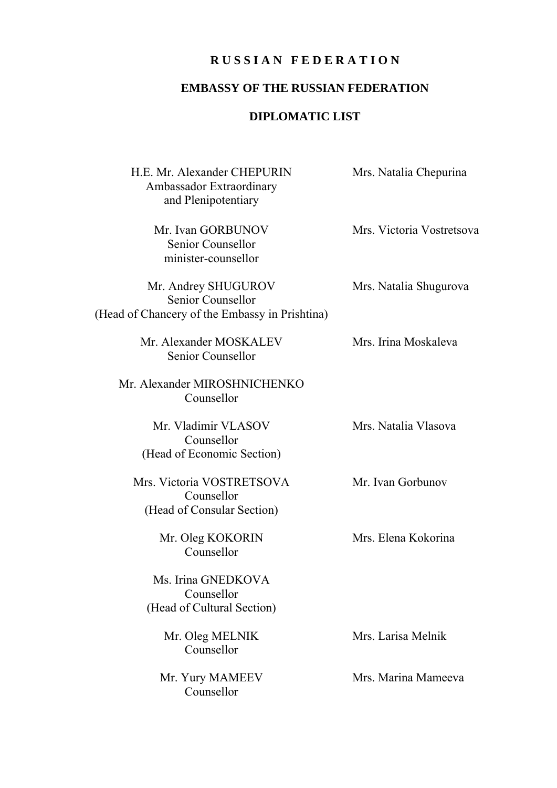## **R U S S I A N F E D E R A T I O N**

## **EMBASSY OF THE RUSSIAN FEDERATION**

## **DIPLOMATIC LIST**

| H.E. Mr. Alexander CHEPURIN<br>Ambassador Extraordinary<br>and Plenipotentiary             | Mrs. Natalia Chepurina    |
|--------------------------------------------------------------------------------------------|---------------------------|
| Mr. Ivan GORBUNOV<br>Senior Counsellor<br>minister-counsellor                              | Mrs. Victoria Vostretsova |
| Mr. Andrey SHUGUROV<br>Senior Counsellor<br>(Head of Chancery of the Embassy in Prishtina) | Mrs. Natalia Shugurova    |
| Mr. Alexander MOSKALEV<br>Senior Counsellor                                                | Mrs. Irina Moskaleva      |
| Mr. Alexander MIROSHNICHENKO<br>Counsellor                                                 |                           |
| Mr. Vladimir VLASOV<br>Counsellor<br>(Head of Economic Section)                            | Mrs. Natalia Vlasova      |
| Mrs. Victoria VOSTRETSOVA<br>Counsellor<br>(Head of Consular Section)                      | Mr. Ivan Gorbunov         |
| Mr. Oleg KOKORIN<br>Counsellor                                                             | Mrs. Elena Kokorina       |
| Ms. Irina GNEDKOVA<br>Counsellor<br>(Head of Cultural Section)                             |                           |
| Mr. Oleg MELNIK<br>Counsellor                                                              | Mrs. Larisa Melnik        |
| Mr. Yury MAMEEV<br>Counsellor                                                              | Mrs. Marina Mameeva       |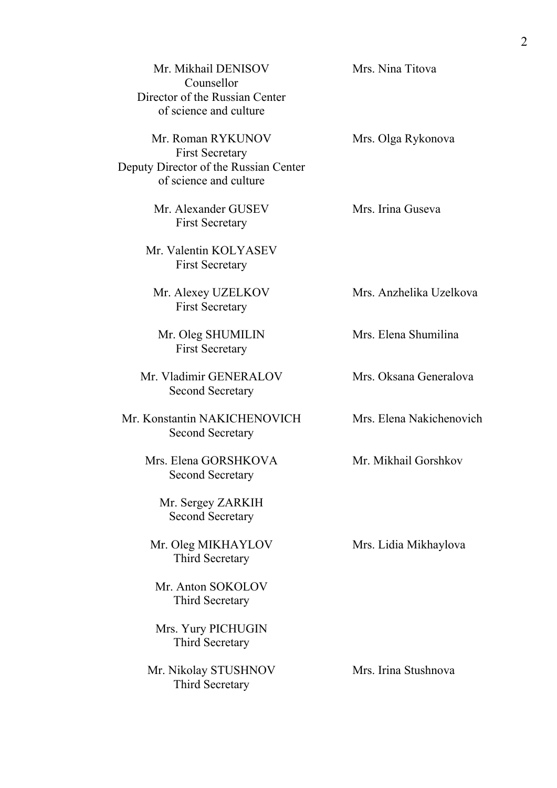| Mr. Mikhail DENISOV<br>Counsellor<br>Director of the Russian Center<br>of science and culture                  | Mrs. Nina Titova         |
|----------------------------------------------------------------------------------------------------------------|--------------------------|
| Mr. Roman RYKUNOV<br><b>First Secretary</b><br>Deputy Director of the Russian Center<br>of science and culture | Mrs. Olga Rykonova       |
| Mr. Alexander GUSEV<br><b>First Secretary</b>                                                                  | Mrs. Irina Guseva        |
| Mr. Valentin KOLYASEV<br><b>First Secretary</b>                                                                |                          |
| Mr. Alexey UZELKOV<br><b>First Secretary</b>                                                                   | Mrs. Anzhelika Uzelkova  |
| Mr. Oleg SHUMILIN<br><b>First Secretary</b>                                                                    | Mrs. Elena Shumilina     |
| Mr. Vladimir GENERALOV<br><b>Second Secretary</b>                                                              | Mrs. Oksana Generalova   |
| Mr. Konstantin NAKICHENOVICH<br><b>Second Secretary</b>                                                        | Mrs. Elena Nakichenovich |
| Mrs. Elena GORSHKOVA<br><b>Second Secretary</b>                                                                | Mr. Mikhail Gorshkov     |
| Mr. Sergey ZARKIH<br><b>Second Secretary</b>                                                                   |                          |
| Mr. Oleg MIKHAYLOV<br>Third Secretary                                                                          | Mrs. Lidia Mikhaylova    |
| Mr. Anton SOKOLOV<br>Third Secretary                                                                           |                          |
| Mrs. Yury PICHUGIN<br>Third Secretary                                                                          |                          |
| Mr. Nikolay STUSHNOV<br>Third Secretary                                                                        | Mrs. Irina Stushnova     |